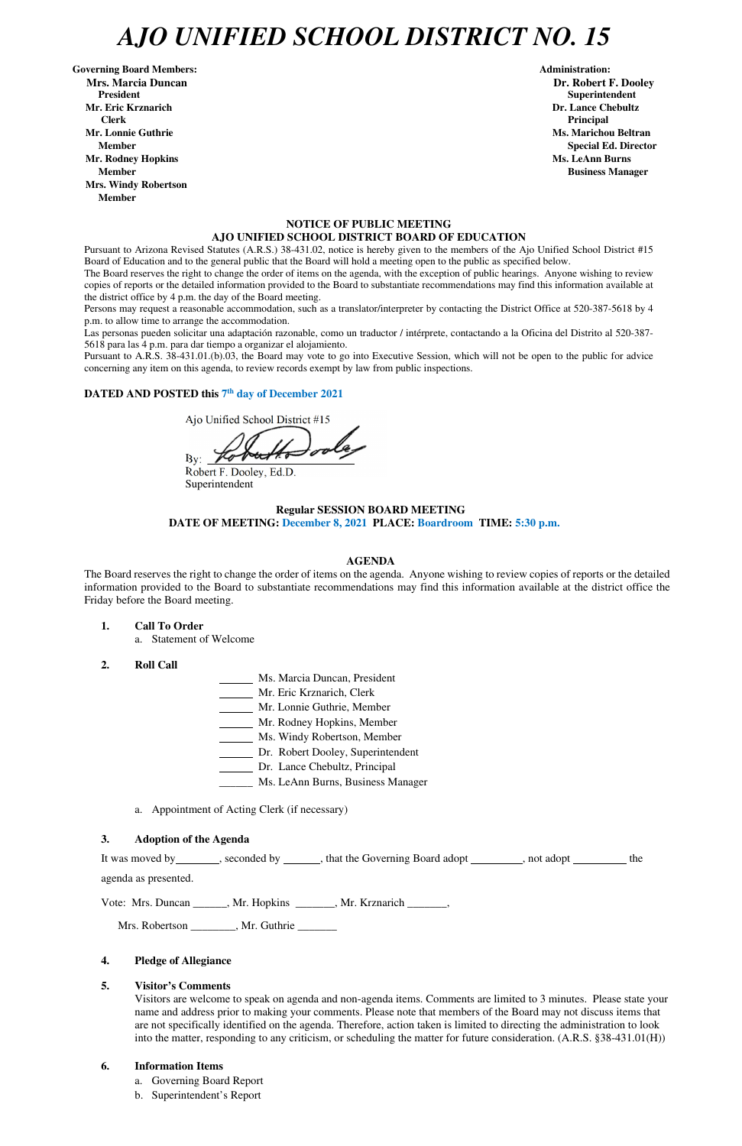# *AJO UNIFIED SCHOOL DISTRICT NO. 15*

Governing Board Members: **Administration: Administration: Administration: Mrs. Marcia Duncan Dr. Robert F. Dooley President Superintendent in the set of the set of the set of the set of the set of the Superintendent Superintendent Mr. Eric Krznarich Dr. Lance Chebultz Clerk Principal Mr. Lonnie Guthrie Ms. Marichou Beltran** *Ms. Marichou Beltran* **<b>Ms. Marichou Beltran Mr. Rodney Hopkins Ms. LeAnn Burns Member Business Manager Business Manager Business Manager Business Manager Mrs. Windy Robertson Member** 

### **NOTICE OF PUBLIC MEETING AJO UNIFIED SCHOOL DISTRICT BOARD OF EDUCATION**

Pursuant to Arizona Revised Statutes (A.R.S.) 38-431.02, notice is hereby given to the members of the Ajo Unified School District #15 Board of Education and to the general public that the Board will hold a meeting open to the public as specified below.

The Board reserves the right to change the order of items on the agenda, with the exception of public hearings. Anyone wishing to review copies of reports or the detailed information provided to the Board to substantiate recommendations may find this information available at the district office by 4 p.m. the day of the Board meeting.

Persons may request a reasonable accommodation, such as a translator/interpreter by contacting the District Office at 520-387-5618 by 4 p.m. to allow time to arrange the accommodation.

Las personas pueden solicitar una adaptación razonable, como un traductor / intérprete, contactando a la Oficina del Distrito al 520-387- 5618 para las 4 p.m. para dar tiempo a organizar el alojamiento.

It was moved by seconded by \_\_\_\_\_, that the Governing Board adopt \_\_\_\_\_\_\_, not adopt \_\_\_\_\_\_\_ the agenda as presented.

Pursuant to A.R.S. 38-431.01.(b).03, the Board may vote to go into Executive Session, which will not be open to the public for advice concerning any item on this agenda, to review records exempt by law from public inspections.

## DATED AND POSTED this 7<sup>th</sup> day of December 2021

Ajo Unified School District #15

 $By:$ 

Robert F. Dooley, Ed.D. Superintendent

## **Regular SESSION BOARD MEETING DATE OF MEETING: December 8, 2021 PLACE: Boardroom TIME: 5:30 p.m.**

### **AGENDA**

The Board reserves the right to change the order of items on the agenda. Anyone wishing to review copies of reports or the detailed information provided to the Board to substantiate recommendations may find this information available at the district office the Friday before the Board meeting.

- **1. Call To Order** 
	- a. Statement of Welcome
- **2. Roll Call**
- Ms. Marcia Duncan, President
- Mr. Eric Krznarich, Clerk
- Mr. Lonnie Guthrie, Member
- Mr. Rodney Hopkins, Member
- Ms. Windy Robertson, Member
- Dr. Robert Dooley, Superintendent
- Dr. Lance Chebultz, Principal
- \_\_\_\_\_\_ Ms. LeAnn Burns, Business Manager
- a. Appointment of Acting Clerk (if necessary)

#### **3. Adoption of the Agenda**

**Member** Special Ed. Director **Special Ed. Director** 

Vote: Mrs. Duncan \_\_\_\_\_\_, Mr. Hopkins \_\_\_\_\_\_\_, Mr. Krznarich \_\_\_\_\_\_\_,

Mrs. Robertson \_\_\_\_\_\_\_\_, Mr. Guthrie \_\_\_\_\_\_\_

### **4. Pledge of Allegiance**

### **5. Visitor's Comments**

Visitors are welcome to speak on agenda and non-agenda items. Comments are limited to 3 minutes. Please state your name and address prior to making your comments. Please note that members of the Board may not discuss items that are not specifically identified on the agenda. Therefore, action taken is limited to directing the administration to look into the matter, responding to any criticism, or scheduling the matter for future consideration. (A.R.S. §38-431.01(H))

### **6. Information Items**

- a. Governing Board Report
- b. Superintendent's Report